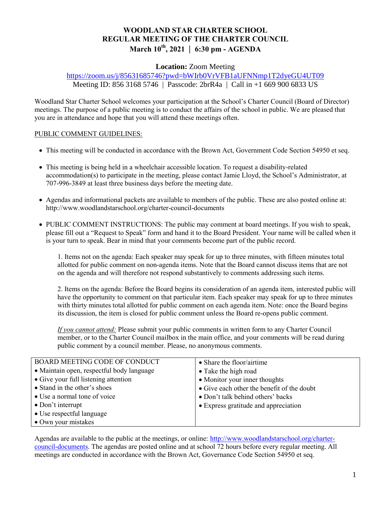# **WOODLAND STAR CHARTER SCHOOL REGULAR MEETING OF THE CHARTER COUNCIL March 10th, 2021 | 6:30 pm - AGENDA**

## **Location:** Zoom Meeting

## <https://zoom.us/j/85631685746?pwd=bWIrb0VrVFB1aUFNNmp1T2dyeGU4UT09> Meeting ID: 856 3168 5746 | Passcode: 2brR4a | Call in +1 669 900 6833 US

Woodland Star Charter School welcomes your participation at the School's Charter Council (Board of Director) meetings. The purpose of a public meeting is to conduct the affairs of the school in public. We are pleased that you are in attendance and hope that you will attend these meetings often.

#### PUBLIC COMMENT GUIDELINES:

- This meeting will be conducted in accordance with the Brown Act, Government Code Section 54950 et seq.
- This meeting is being held in a wheelchair accessible location. To request a disability-related accommodation(s) to participate in the meeting, please contact Jamie Lloyd, the School's Administrator, at 707-996-3849 at least three business days before the meeting date.
- Agendas and informational packets are available to members of the public. These are also posted online at: http://www.woodlandstarschool.org/charter-council-documents
- PUBLIC COMMENT INSTRUCTIONS: The public may comment at board meetings. If you wish to speak, please fill out a "Request to Speak" form and hand it to the Board President. Your name will be called when it is your turn to speak. Bear in mind that your comments become part of the public record.

1. Items not on the agenda: Each speaker may speak for up to three minutes, with fifteen minutes total allotted for public comment on non-agenda items. Note that the Board cannot discuss items that are not on the agenda and will therefore not respond substantively to comments addressing such items.

2. Items on the agenda: Before the Board begins its consideration of an agenda item, interested public will have the opportunity to comment on that particular item. Each speaker may speak for up to three minutes with thirty minutes total allotted for public comment on each agenda item. Note: once the Board begins its discussion, the item is closed for public comment unless the Board re-opens public comment.

*If you cannot attend:* Please submit your public comments in written form to any Charter Council member, or to the Charter Council mailbox in the main office, and your comments will be read during public comment by a council member. Please, no anonymous comments.

| BOARD MEETING CODE OF CONDUCT             | • Share the floor/airtime                  |
|-------------------------------------------|--------------------------------------------|
| • Maintain open, respectful body language | • Take the high road                       |
| • Give your full listening attention      | • Monitor your inner thoughts              |
| • Stand in the other's shoes              | • Give each other the benefit of the doubt |
| • Use a normal tone of voice              | • Don't talk behind others' backs          |
| $\bullet$ Don't interrupt                 | • Express gratitude and appreciation       |
| • Use respectful language                 |                                            |
| • Own your mistakes                       |                                            |

Agendas are available to the public at the meetings, or online: [http://www.woodlandstarschool.org/charter](http://www.woodlandstarschool.org/charter-council-documents)[council-documents.](http://www.woodlandstarschool.org/charter-council-documents) The agendas are posted online and at school 72 hours before every regular meeting. All meetings are conducted in accordance with the Brown Act, Governance Code Section 54950 et seq.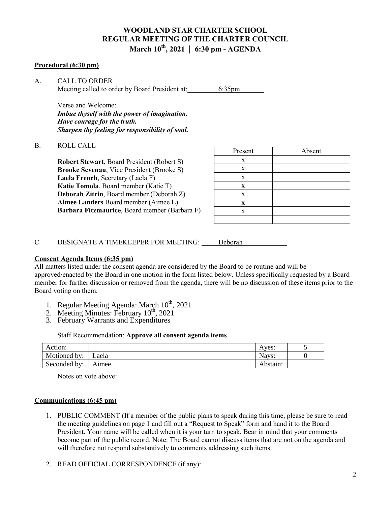# **WOODLAND STAR CHARTER SCHOOL REGULAR MEETING OF THE CHARTER COUNCIL March 10th, 2021 | 6:30 pm - AGENDA**

#### **Procedural (6:30 pm)**

A. CALL TO ORDER Meeting called to order by Board President at: 6:35pm

Verse and Welcome: *Imbue thyself with the power of imagination. Have courage for the truth. Sharpen thy feeling for responsibility of soul.*

#### B. ROLL CALL

**Robert Stewart**, Board President (Robert S) **Brooke Sevenau**, Vice President (Brooke S) **Laela French**, Secretary (Laela F) **Katie Tomola**, Board member (Katie T) **Deborah Zitrin**, Board member (Deborah Z) **Aimee Landers** Board member (Aimee L) **Barbara Fitzmaurice**, Board member (Barbara F)

| Present     | Absent |
|-------------|--------|
| X           |        |
| X           |        |
| X           |        |
| X           |        |
| $\mathbf X$ |        |
| $\mathbf X$ |        |
| X           |        |
|             |        |

C. DESIGNATE A TIMEKEEPER FOR MEETING: Deborah

#### **Consent Agenda Items (6:35 pm)**

All matters listed under the consent agenda are considered by the Board to be routine and will be approved/enacted by the Board in one motion in the form listed below. Unless specifically requested by a Board member for further discussion or removed from the agenda, there will be no discussion of these items prior to the Board voting on them.

- 1. Regular Meeting Agenda: March 10<sup>th</sup>, 2021
- 2. Meeting Minutes: February  $10^{th}$ , 2021
- 3. February Warrants and Expenditures

Staff Recommendation: **Approve all consent agenda items**

| Action:      |       | Aves:    |  |
|--------------|-------|----------|--|
| Motioned by: | Laela | Nays:    |  |
| Seconded by: | Aimee | Abstain: |  |

Notes on vote above:

#### **Communications (6:45 pm)**

- 1. PUBLIC COMMENT (If a member of the public plans to speak during this time, please be sure to read the meeting guidelines on page 1 and fill out a "Request to Speak" form and hand it to the Board President. Your name will be called when it is your turn to speak. Bear in mind that your comments become part of the public record. Note: The Board cannot discuss items that are not on the agenda and will therefore not respond substantively to comments addressing such items.
- 2. READ OFFICIAL CORRESPONDENCE (if any):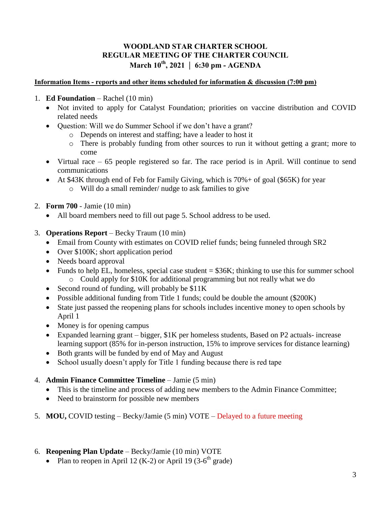# **WOODLAND STAR CHARTER SCHOOL REGULAR MEETING OF THE CHARTER COUNCIL March 10th, 2021 | 6:30 pm - AGENDA**

## **Information Items - reports and other items scheduled for information & discussion (7:00 pm)**

- 1. **Ed Foundation**  Rachel (10 min)
	- Not invited to apply for Catalyst Foundation; priorities on vaccine distribution and COVID related needs
	- Question: Will we do Summer School if we don't have a grant?
		- o Depends on interest and staffing; have a leader to host it
		- o There is probably funding from other sources to run it without getting a grant; more to come
	- Virtual race  $-65$  people registered so far. The race period is in April. Will continue to send communications
	- At \$43K through end of Feb for Family Giving, which is 70%+ of goal (\$65K) for year o Will do a small reminder/ nudge to ask families to give
- 2. **Form 700** Jamie (10 min)
	- All board members need to fill out page 5. School address to be used.
- 3. **Operations Report**  Becky Traum (10 min)
	- Email from County with estimates on COVID relief funds; being funneled through SR2
	- Over \$100K; short application period
	- Needs board approval
	- Funds to help EL, homeless, special case student  $= $36K$ ; thinking to use this for summer school o Could apply for \$10K for additional programming but not really what we do
	- Second round of funding, will probably be \$11K
	- Possible additional funding from Title 1 funds; could be double the amount (\$200K)
	- State just passed the reopening plans for schools includes incentive money to open schools by April 1
	- Money is for opening campus
	- Expanded learning grant bigger, \$1K per homeless students, Based on P2 actuals- increase learning support (85% for in-person instruction, 15% to improve services for distance learning)
	- Both grants will be funded by end of May and August
	- School usually doesn't apply for Title 1 funding because there is red tape
- 4. **Admin Finance Committee Timeline**  Jamie (5 min)
	- This is the timeline and process of adding new members to the Admin Finance Committee;
	- Need to brainstorm for possible new members
- 5. **MOU,** COVID testing Becky/Jamie (5 min) VOTE Delayed to a future meeting

## 6. **Reopening Plan Update** – Becky/Jamie (10 min) VOTE

• Plan to reopen in April 12 (K-2) or April 19 (3-6<sup>th</sup> grade)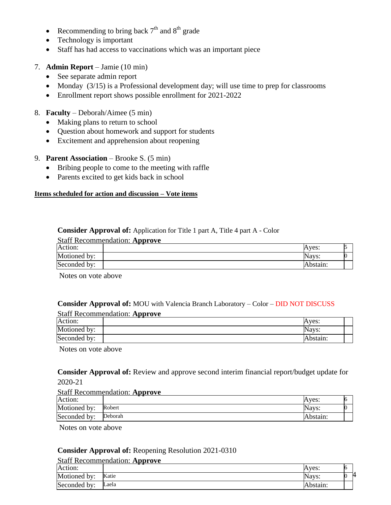- Recommending to bring back  $7<sup>th</sup>$  and  $8<sup>th</sup>$  grade
- Technology is important
- Staff has had access to vaccinations which was an important piece
- 7. **Admin Report**  Jamie (10 min)
	- See separate admin report
	- Monday  $(3/15)$  is a Professional development day; will use time to prep for classrooms
	- Enrollment report shows possible enrollment for 2021-2022
- 8. **Faculty**  Deborah/Aimee (5 min)
	- Making plans to return to school
	- Question about homework and support for students
	- Excitement and apprehension about reopening
- 9. **Parent Association** Brooke S. (5 min)
	- Bribing people to come to the meeting with raffle
	- Parents excited to get kids back in school

#### **Items scheduled for action and discussion – Vote items**

## **Consider Approval of:** Application for Title 1 part A, Title 4 part A - Color

|              | <b>Staff Recommendation: Approve</b> |          |  |
|--------------|--------------------------------------|----------|--|
| Action:      |                                      | Aves:    |  |
| Motioned by: |                                      | Navs:    |  |
| Seconded by: |                                      | Abstain: |  |

Notes on vote above

#### **Consider Approval of:** MOU with Valencia Branch Laboratory – Color – DID NOT DISCUSS Staff Recommendation: **Approve**

|              | Stall Recommendation: Approve |          |
|--------------|-------------------------------|----------|
| Action:      |                               | Aves:    |
| Motioned by: |                               | Navs:    |
| Seconded by: |                               | Abstain: |

Notes on vote above

**Consider Approval of:** Review and approve second interim financial report/budget update for 2020-21

#### Staff Recommendation: **Approve**

| Action:      | --      | Aves:    |  |
|--------------|---------|----------|--|
| Motioned by: | Robert  | Navs:    |  |
| Seconded by: | Deborah | Abstain: |  |

Notes on vote above

#### **Consider Approval of:** Reopening Resolution 2021-0310

|              | <b>Staff Recommendation: Approve</b> |          |    |
|--------------|--------------------------------------|----------|----|
| Action:      |                                      | Aves:    | 16 |
| Motioned by: | Katie                                | Navs:    |    |
| Seconded by: | Laela                                | Abstain: |    |